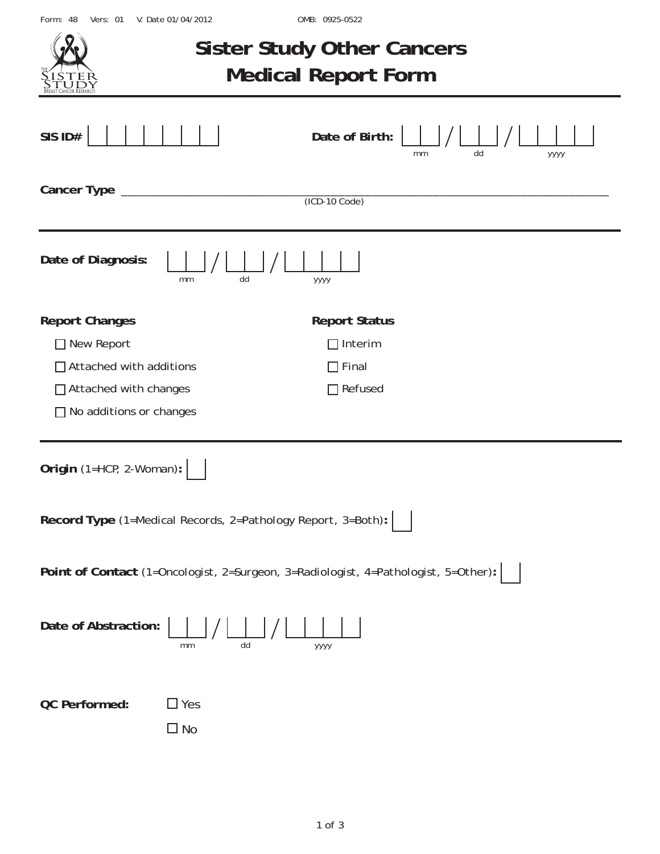Form: 48 Vers: 01 V. Date 01/04/2012

OMB: 0925-0522

|                                                                                                                                           |                         | <b>Sister Study Other Cancers</b><br><b>Medical Report Form</b>          |  |  |  |  |  |  |
|-------------------------------------------------------------------------------------------------------------------------------------------|-------------------------|--------------------------------------------------------------------------|--|--|--|--|--|--|
| SIS ID#                                                                                                                                   |                         | Date of Birth:<br>dd<br>уууу<br>mт                                       |  |  |  |  |  |  |
| Cancer Type                                                                                                                               |                         | $(ICD-10 Code)$                                                          |  |  |  |  |  |  |
| Date of Diagnosis:                                                                                                                        | dd<br>mm                | уууу                                                                     |  |  |  |  |  |  |
| <b>Report Changes</b><br>□ New Report<br>$\Box$ Attached with additions<br>$\Box$ Attached with changes<br>$\Box$ No additions or changes |                         | <b>Report Status</b><br>$\Box$ Interim<br>$\Box$ Final<br>$\Box$ Refused |  |  |  |  |  |  |
| Origin (1=HCP, 2-Woman):                                                                                                                  |                         |                                                                          |  |  |  |  |  |  |
| Record Type (1=Medical Records, 2=Pathology Report, 3=Both):                                                                              |                         |                                                                          |  |  |  |  |  |  |
| Point of Contact (1=Oncologist, 2=Surgeon, 3=Radiologist, 4=Pathologist, 5=Other):                                                        |                         |                                                                          |  |  |  |  |  |  |
| Date of Abstraction:                                                                                                                      | dd<br>mm                | уууу                                                                     |  |  |  |  |  |  |
| QC Performed:                                                                                                                             | $\Box$ Yes<br>$\Box$ No |                                                                          |  |  |  |  |  |  |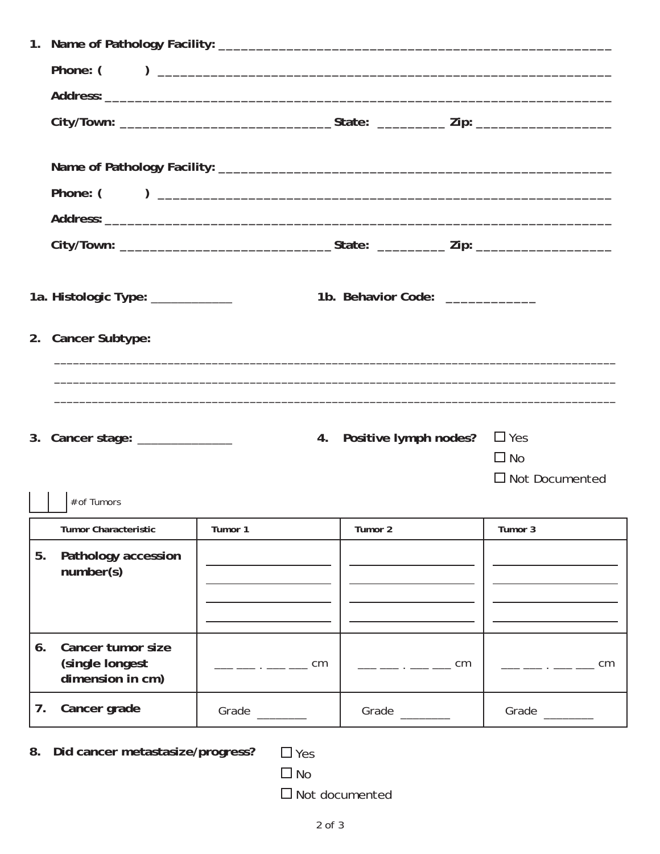|    | 1a. Histologic Type: ____________                        |                         | 1b. Behavior Code:                                                                                                                                                                                                                                                                                                  |                                                  |  |  |  |  |  |  |
|----|----------------------------------------------------------|-------------------------|---------------------------------------------------------------------------------------------------------------------------------------------------------------------------------------------------------------------------------------------------------------------------------------------------------------------|--------------------------------------------------|--|--|--|--|--|--|
|    | 2. Cancer Subtype:                                       |                         |                                                                                                                                                                                                                                                                                                                     |                                                  |  |  |  |  |  |  |
|    |                                                          |                         |                                                                                                                                                                                                                                                                                                                     |                                                  |  |  |  |  |  |  |
|    |                                                          |                         |                                                                                                                                                                                                                                                                                                                     |                                                  |  |  |  |  |  |  |
|    | 3. Cancer stage: ______________                          |                         | 4. Positive lymph nodes?                                                                                                                                                                                                                                                                                            | $\Box$ Yes<br>$\Box$ No<br>$\Box$ Not Documented |  |  |  |  |  |  |
|    | $\#$ of Tumors                                           |                         |                                                                                                                                                                                                                                                                                                                     |                                                  |  |  |  |  |  |  |
|    | <b>Tumor Characteristic</b>                              | Tumor 1                 | Tumor 2                                                                                                                                                                                                                                                                                                             | Tumor 3                                          |  |  |  |  |  |  |
| 5. | Pathology accession                                      |                         |                                                                                                                                                                                                                                                                                                                     |                                                  |  |  |  |  |  |  |
|    | number(s)                                                |                         |                                                                                                                                                                                                                                                                                                                     |                                                  |  |  |  |  |  |  |
|    |                                                          |                         |                                                                                                                                                                                                                                                                                                                     |                                                  |  |  |  |  |  |  |
| 6. | Cancer tumor size<br>(single longest<br>dimension in cm) | —— —— . —— —— cm        | $\frac{1}{1}$ $\frac{1}{1}$ $\frac{1}{1}$ $\frac{1}{1}$ $\frac{1}{1}$ $\frac{1}{1}$ $\frac{1}{1}$ $\frac{1}{1}$ $\frac{1}{1}$ $\frac{1}{1}$ $\frac{1}{1}$ $\frac{1}{1}$ $\frac{1}{1}$ $\frac{1}{1}$ $\frac{1}{1}$ $\frac{1}{1}$ $\frac{1}{1}$ $\frac{1}{1}$ $\frac{1}{1}$ $\frac{1}{1}$ $\frac{1}{1}$ $\frac{1}{1}$ | $\frac{1}{1}$ . $\frac{1}{1}$ . $\frac{1}{1}$ cm |  |  |  |  |  |  |
| 7. | Cancer grade                                             | Grade                   | Grade                                                                                                                                                                                                                                                                                                               | Grade                                            |  |  |  |  |  |  |
| 8. | Did cancer metastasize/progress?                         | $\Box$ Yes<br>$\Box$ No | $\Box$ Not documented                                                                                                                                                                                                                                                                                               |                                                  |  |  |  |  |  |  |